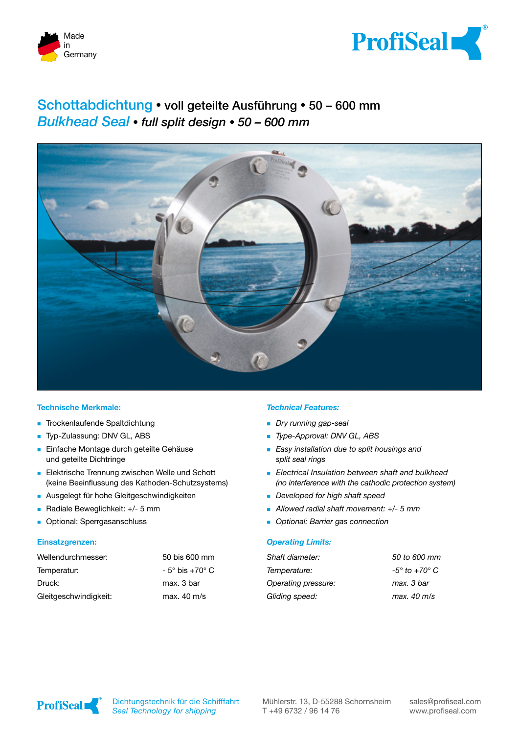



# Schottabdichtung **�** voll geteilte Ausführung **�** 50 – 600 mm *Bulkhead Seal* **�** *full split design* **�** *50 – 600 mm*



# **Technische Merkmale:**

- **Trockenlaufende Spaltdichtung**
- Typ-Zulassung: DNV GL, ABS
- **Einfache Montage durch geteilte Gehäuse** und geteilte Dichtringe
- **Elektrische Trennung zwischen Welle und Schott** (keine Beeinflussung des Kathoden-Schutzsystems)
- **Ausgelegt für hohe Gleitgeschwindigkeiten**
- Radiale Beweglichkeit: +/- 5 mm
- **Department**: Sperrgasanschluss

# **Einsatzgrenzen:**

| Wellendurchmesser:    | 50 bis 600 mm                |
|-----------------------|------------------------------|
| Temperatur:           | $-5^\circ$ bis $+70^\circ$ C |
| Druck:                | max. 3 bar                   |
| Gleitgeschwindigkeit: | max. $40 \text{ m/s}$        |

### *Technical Features:*

- *Dry running gap-seal*
- *Type-Approval: DNV GL, ABS*
- *Easy installation due to split housings and split seal rings*
- *Electrical Insulation between shaft and bulkhead (no interference with the cathodic protection system)*
- *Developed for high shaft speed*
- *Allowed radial shaft movement: +/- 5 mm*
- *Optional: Barrier gas connection*

# *Operating Limits:*

| Shaft diameter:     | 50 to 600 mm                |
|---------------------|-----------------------------|
| Temperature:        | $-5^\circ$ to $+70^\circ$ C |
| Operating pressure: | max. 3 bar                  |
| Gliding speed:      | max. 40 m/s                 |